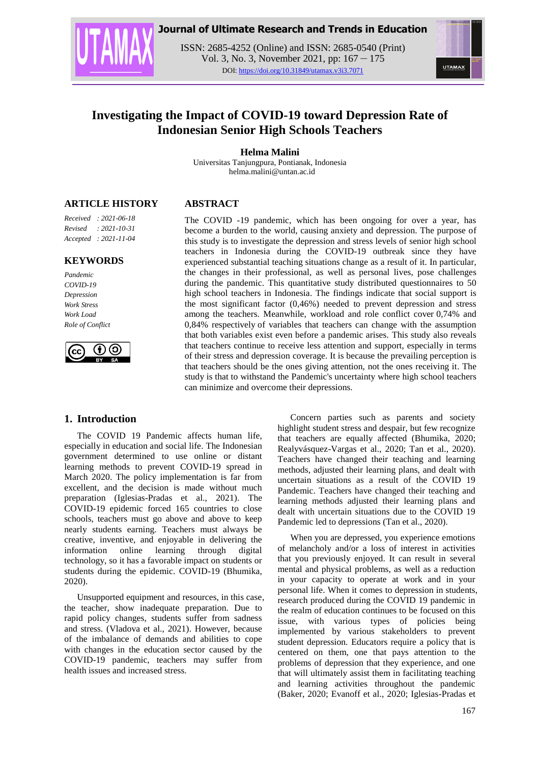



ISSN: 2685-4252 (Online) and ISSN: 2685-0540 (Print) Vol. 3, No. 3, November 2021, pp: 167 – 175 DOI: https://doi.org/10.31849/utamax.v3i3.7071



# **Investigating the Impact of COVID-19 toward Depression Rate of Indonesian Senior High Schools Teachers**

**Helma Malini**

Universitas Tanjungpura, Pontianak, Indonesia helma.malini@untan.ac.id

**ABSTRACT**

## **ARTICLE HISTORY**

*Received : 2021-06-18 Revised : 2021-10-31 Accepted : 2021-11-04*

#### **KEYWORDS**

*Pandemic COVID-19 Depression Work Stress Work Load Role of Conflict*



## **1. Introduction**

The COVID 19 Pandemic affects human life, especially in education and social life. The Indonesian government determined to use online or distant learning methods to prevent COVID-19 spread in March 2020. The policy implementation is far from excellent, and the decision is made without much preparation (Iglesias-Pradas et al., 2021). The COVID-19 epidemic forced 165 countries to close schools, teachers must go above and above to keep nearly students earning. Teachers must always be creative, inventive, and enjoyable in delivering the information online learning through digital technology, so it has a favorable impact on students or students during the epidemic. COVID-19 (Bhumika, 2020).

Unsupported equipment and resources, in this case, the teacher, show inadequate preparation. Due to rapid policy changes, students suffer from sadness and stress. (Vladova et al., 2021). However, because of the imbalance of demands and abilities to cope with changes in the education sector caused by the COVID-19 pandemic, teachers may suffer from health issues and increased stress.

The COVID -19 pandemic, which has been ongoing for over a year, has become a burden to the world, causing anxiety and depression. The purpose of this study is to investigate the depression and stress levels of senior high school teachers in Indonesia during the COVID-19 outbreak since they have experienced substantial teaching situations change as a result of it. In particular, the changes in their professional, as well as personal lives, pose challenges during the pandemic. This quantitative study distributed questionnaires to 50 high school teachers in Indonesia. The findings indicate that social support is the most significant factor (0,46%) needed to prevent depression and stress among the teachers. Meanwhile, workload and role conflict cover 0,74% and 0,84% respectively of variables that teachers can change with the assumption that both variables exist even before a pandemic arises. This study also reveals that teachers continue to receive less attention and support, especially in terms of their stress and depression coverage. It is because the prevailing perception is that teachers should be the ones giving attention, not the ones receiving it. The study is that to withstand the Pandemic's uncertainty where high school teachers can minimize and overcome their depressions.

> Concern parties such as parents and society highlight student stress and despair, but few recognize that teachers are equally affected (Bhumika, 2020; Realyvásquez-Vargas et al., 2020; Tan et al., 2020). Teachers have changed their teaching and learning methods, adjusted their learning plans, and dealt with uncertain situations as a result of the COVID 19 Pandemic. Teachers have changed their teaching and learning methods adjusted their learning plans and dealt with uncertain situations due to the COVID 19 Pandemic led to depressions (Tan et al., 2020).

> When you are depressed, you experience emotions of melancholy and/or a loss of interest in activities that you previously enjoyed. It can result in several mental and physical problems, as well as a reduction in your capacity to operate at work and in your personal life. When it comes to depression in students, research produced during the COVID 19 pandemic in the realm of education continues to be focused on this issue, with various types of policies being implemented by various stakeholders to prevent student depression. Educators require a policy that is centered on them, one that pays attention to the problems of depression that they experience, and one that will ultimately assist them in facilitating teaching and learning activities throughout the pandemic (Baker, 2020; Evanoff et al., 2020; Iglesias-Pradas et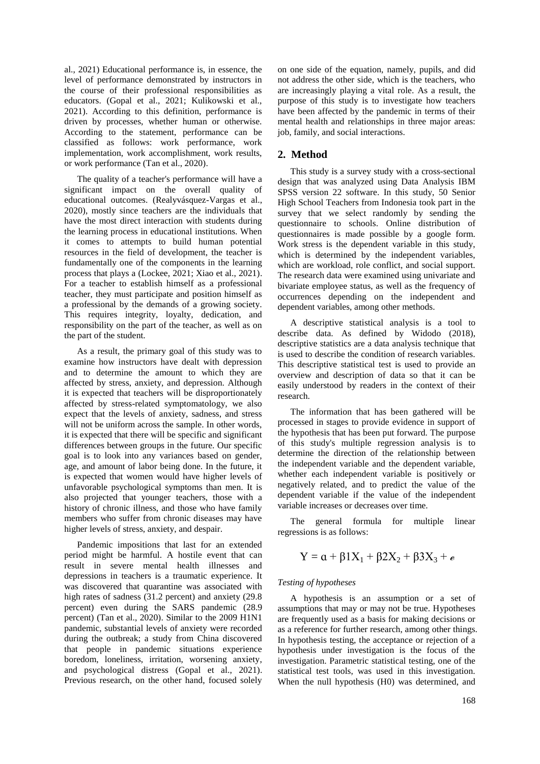al., 2021) Educational performance is, in essence, the level of performance demonstrated by instructors in the course of their professional responsibilities as educators. (Gopal et al., 2021; Kulikowski et al., 2021). According to this definition, performance is driven by processes, whether human or otherwise. According to the statement, performance can be classified as follows: work performance, work implementation, work accomplishment, work results, or work performance (Tan et al., 2020).

The quality of a teacher's performance will have a significant impact on the overall quality of educational outcomes. (Realyvásquez-Vargas et al., 2020), mostly since teachers are the individuals that have the most direct interaction with students during the learning process in educational institutions. When it comes to attempts to build human potential resources in the field of development, the teacher is fundamentally one of the components in the learning process that plays a (Lockee, 2021; Xiao et al., 2021). For a teacher to establish himself as a professional teacher, they must participate and position himself as a professional by the demands of a growing society. This requires integrity, loyalty, dedication, and responsibility on the part of the teacher, as well as on the part of the student.

As a result, the primary goal of this study was to examine how instructors have dealt with depression and to determine the amount to which they are affected by stress, anxiety, and depression. Although it is expected that teachers will be disproportionately affected by stress-related symptomatology, we also expect that the levels of anxiety, sadness, and stress will not be uniform across the sample. In other words, it is expected that there will be specific and significant differences between groups in the future. Our specific goal is to look into any variances based on gender, age, and amount of labor being done. In the future, it is expected that women would have higher levels of unfavorable psychological symptoms than men. It is also projected that younger teachers, those with a history of chronic illness, and those who have family members who suffer from chronic diseases may have higher levels of stress, anxiety, and despair.

Pandemic impositions that last for an extended period might be harmful. A hostile event that can result in severe mental health illnesses and depressions in teachers is a traumatic experience. It was discovered that quarantine was associated with high rates of sadness (31.2 percent) and anxiety (29.8 percent) even during the SARS pandemic (28.9 percent) (Tan et al., 2020). Similar to the 2009 H1N1 pandemic, substantial levels of anxiety were recorded during the outbreak; a study from China discovered that people in pandemic situations experience boredom, loneliness, irritation, worsening anxiety, and psychological distress (Gopal et al., 2021). Previous research, on the other hand, focused solely on one side of the equation, namely, pupils, and did not address the other side, which is the teachers, who are increasingly playing a vital role. As a result, the purpose of this study is to investigate how teachers have been affected by the pandemic in terms of their mental health and relationships in three major areas: job, family, and social interactions.

## **2. Method**

This study is a survey study with a cross-sectional design that was analyzed using Data Analysis IBM SPSS version 22 software. In this study, 50 Senior High School Teachers from Indonesia took part in the survey that we select randomly by sending the questionnaire to schools. Online distribution of questionnaires is made possible by a google form. Work stress is the dependent variable in this study, which is determined by the independent variables, which are workload, role conflict, and social support. The research data were examined using univariate and bivariate employee status, as well as the frequency of occurrences depending on the independent and dependent variables, among other methods.

A descriptive statistical analysis is a tool to describe data. As defined by Widodo (2018), descriptive statistics are a data analysis technique that is used to describe the condition of research variables. This descriptive statistical test is used to provide an overview and description of data so that it can be easily understood by readers in the context of their research.

The information that has been gathered will be processed in stages to provide evidence in support of the hypothesis that has been put forward. The purpose of this study's multiple regression analysis is to determine the direction of the relationship between the independent variable and the dependent variable, whether each independent variable is positively or negatively related, and to predict the value of the dependent variable if the value of the independent variable increases or decreases over time.

The general formula for multiple linear regressions is as follows:

$$
Y=\alpha+\beta 1X_1+\beta 2X_2+\beta 3X_3+e
$$

#### *Testing of hypotheses*

A hypothesis is an assumption or a set of assumptions that may or may not be true. Hypotheses are frequently used as a basis for making decisions or as a reference for further research, among other things. In hypothesis testing, the acceptance or rejection of a hypothesis under investigation is the focus of the investigation. Parametric statistical testing, one of the statistical test tools, was used in this investigation. When the null hypothesis (H0) was determined, and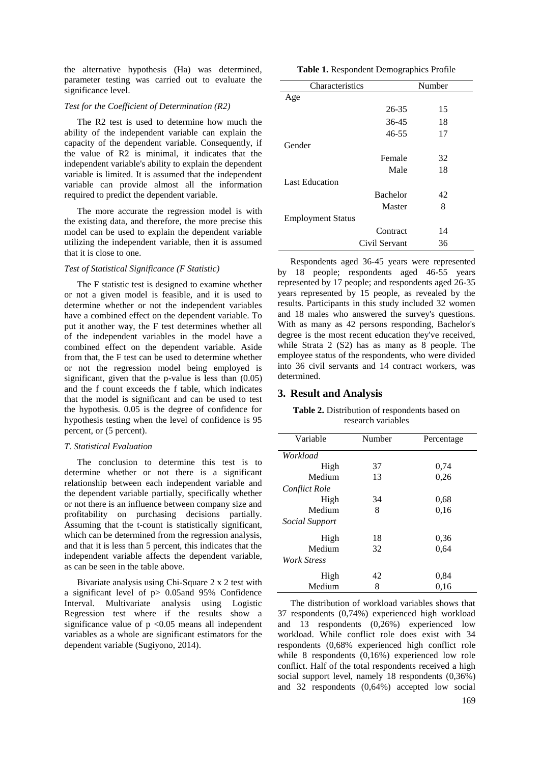the alternative hypothesis (Ha) was determined, parameter testing was carried out to evaluate the significance level.

#### *Test for the Coefficient of Determination (R2)*

The R2 test is used to determine how much the ability of the independent variable can explain the capacity of the dependent variable. Consequently, if the value of R2 is minimal, it indicates that the independent variable's ability to explain the dependent variable is limited. It is assumed that the independent variable can provide almost all the information required to predict the dependent variable.

The more accurate the regression model is with the existing data, and therefore, the more precise this model can be used to explain the dependent variable utilizing the independent variable, then it is assumed that it is close to one.

#### *Test of Statistical Significance (F Statistic)*

The F statistic test is designed to examine whether or not a given model is feasible, and it is used to determine whether or not the independent variables have a combined effect on the dependent variable. To put it another way, the F test determines whether all of the independent variables in the model have a combined effect on the dependent variable. Aside from that, the F test can be used to determine whether or not the regression model being employed is significant, given that the p-value is less than (0.05) and the f count exceeds the f table, which indicates that the model is significant and can be used to test the hypothesis. 0.05 is the degree of confidence for hypothesis testing when the level of confidence is 95 percent, or (5 percent).

#### *T. Statistical Evaluation*

The conclusion to determine this test is to determine whether or not there is a significant relationship between each independent variable and the dependent variable partially, specifically whether or not there is an influence between company size and profitability on purchasing decisions partially. Assuming that the t-count is statistically significant, which can be determined from the regression analysis, and that it is less than 5 percent, this indicates that the independent variable affects the dependent variable, as can be seen in the table above.

Bivariate analysis using Chi-Square 2 x 2 test with a significant level of p> 0.05and 95% Confidence Interval. Multivariate analysis using Logistic Regression test where if the results show a significance value of  $p \le 0.05$  means all independent variables as a whole are significant estimators for the dependent variable (Sugiyono, 2014).

|  | Table 1. Respondent Demographics Profile |  |  |
|--|------------------------------------------|--|--|
|  |                                          |  |  |

| Characteristics          |                 | Number |  |  |
|--------------------------|-----------------|--------|--|--|
| Age                      |                 |        |  |  |
|                          | $26 - 35$       | 15     |  |  |
|                          | 36-45           | 18     |  |  |
|                          | $46 - 55$       | 17     |  |  |
| Gender                   |                 |        |  |  |
|                          | Female          | 32     |  |  |
|                          | Male            | 18     |  |  |
| <b>Last Education</b>    |                 |        |  |  |
|                          | <b>Bachelor</b> | 42     |  |  |
|                          | Master          | 8      |  |  |
| <b>Employment Status</b> |                 |        |  |  |
|                          | Contract        | 14     |  |  |
|                          | Civil Servant   | 36     |  |  |

Respondents aged 36-45 years were represented by 18 people; respondents aged 46-55 years represented by 17 people; and respondents aged 26-35 years represented by 15 people, as revealed by the results. Participants in this study included 32 women and 18 males who answered the survey's questions. With as many as 42 persons responding, Bachelor's degree is the most recent education they've received, while Strata 2 (S2) has as many as 8 people. The employee status of the respondents, who were divided into 36 civil servants and 14 contract workers, was determined.

#### **3. Result and Analysis**

**Table 2.** Distribution of respondents based on research variables

| Variable              | Number | Percentage |  |
|-----------------------|--------|------------|--|
| Workload              |        |            |  |
| High                  | 37     | 0,74       |  |
| Medium                | 13     | 0,26       |  |
| Conflict Role         |        |            |  |
| High                  | 34     | 0.68       |  |
| Medium                | 8      | 0,16       |  |
| <i>Social Support</i> |        |            |  |
| High                  | 18     | 0.36       |  |
| Medium                | 32     | 0,64       |  |
| <b>Work Stress</b>    |        |            |  |
| High                  | 42     | 0.84       |  |
| Medium                | 8      | 0,16       |  |

The distribution of workload variables shows that 37 respondents (0,74%) experienced high workload and 13 respondents (0,26%) experienced low workload. While conflict role does exist with 34 respondents (0,68% experienced high conflict role while 8 respondents (0,16%) experienced low role conflict. Half of the total respondents received a high social support level, namely 18 respondents (0,36%) and 32 respondents (0,64%) accepted low social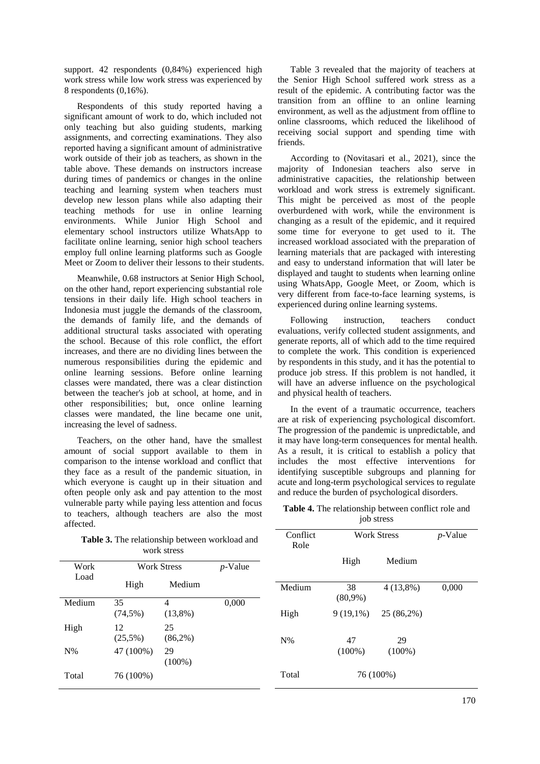support. 42 respondents (0,84%) experienced high work stress while low work stress was experienced by 8 respondents (0,16%).

Respondents of this study reported having a significant amount of work to do, which included not only teaching but also guiding students, marking assignments, and correcting examinations. They also reported having a significant amount of administrative work outside of their job as teachers, as shown in the table above. These demands on instructors increase during times of pandemics or changes in the online teaching and learning system when teachers must develop new lesson plans while also adapting their teaching methods for use in online learning environments. While Junior High School and elementary school instructors utilize WhatsApp to facilitate online learning, senior high school teachers employ full online learning platforms such as Google Meet or Zoom to deliver their lessons to their students.

Meanwhile, 0.68 instructors at Senior High School, on the other hand, report experiencing substantial role tensions in their daily life. High school teachers in Indonesia must juggle the demands of the classroom, the demands of family life, and the demands of additional structural tasks associated with operating the school. Because of this role conflict, the effort increases, and there are no dividing lines between the numerous responsibilities during the epidemic and online learning sessions. Before online learning classes were mandated, there was a clear distinction between the teacher's job at school, at home, and in other responsibilities; but, once online learning classes were mandated, the line became one unit, increasing the level of sadness.

Teachers, on the other hand, have the smallest amount of social support available to them in comparison to the intense workload and conflict that they face as a result of the pandemic situation, in which everyone is caught up in their situation and often people only ask and pay attention to the most vulnerable party while paying less attention and focus to teachers, although teachers are also the most affected.

Table 3. The relationship work st

Table 3 revealed that the majority of teachers at the Senior High School suffered work stress as a result of the epidemic. A contributing factor was the transition from an offline to an online learning environment, as well as the adjustment from offline to online classrooms, which reduced the likelihood of receiving social support and spending time with friends.

According to (Novitasari et al., 2021), since the majority of Indonesian teachers also serve in administrative capacities, the relationship between workload and work stress is extremely significant. This might be perceived as most of the people overburdened with work, while the environment is changing as a result of the epidemic, and it required some time for everyone to get used to it. The increased workload associated with the preparation of learning materials that are packaged with interesting and easy to understand information that will later be displayed and taught to students when learning online using WhatsApp, Google Meet, or Zoom, which is very different from face-to-face learning systems, is experienced during online learning systems.

Following instruction, teachers conduct evaluations, verify collected student assignments, and generate reports, all of which add to the time required to complete the work. This condition is experienced by respondents in this study, and it has the potential to produce job stress. If this problem is not handled, it will have an adverse influence on the psychological and physical health of teachers.

In the event of a traumatic occurrence, teachers are at risk of experiencing psychological discomfort. The progression of the pandemic is unpredictable, and it may have long-term consequences for mental health. As a result, it is critical to establish a policy that includes the most effective interventions for identifying susceptible subgroups and planning for acute and long-term psychological services to regulate and reduce the burden of psychological disorders.

| Table 4. The relationship between conflict role and |
|-----------------------------------------------------|
| job stress                                          |

| Table 3. The relationship between workload and<br>work stress |                  |                    | Conflict<br><b>Work Stress</b><br>Role |        | $p$ -Value  |             |       |
|---------------------------------------------------------------|------------------|--------------------|----------------------------------------|--------|-------------|-------------|-------|
| Work<br>Load                                                  |                  | <b>Work Stress</b> | $p$ -Value                             |        | High        | Medium      |       |
|                                                               | High             | Medium             |                                        | Medium | 38          | $4(13,8\%)$ | 0,000 |
| Medium                                                        | 35               | $\overline{4}$     | 0,000                                  |        | $(80,9\%)$  |             |       |
|                                                               | $(74,5\%)$       | $(13,8\%)$         |                                        | High   | $9(19,1\%)$ | 25 (86,2%)  |       |
| High                                                          | 12<br>$(25,5\%)$ | 25<br>$(86,2\%)$   |                                        | $N\%$  | 47          | 29          |       |
| $N\%$                                                         | 47 (100%)        | 29<br>$(100\%)$    |                                        |        | $(100\%)$   | $(100\%)$   |       |
| Total                                                         | 76 (100%)        |                    |                                        | Total  |             | 76 (100%)   |       |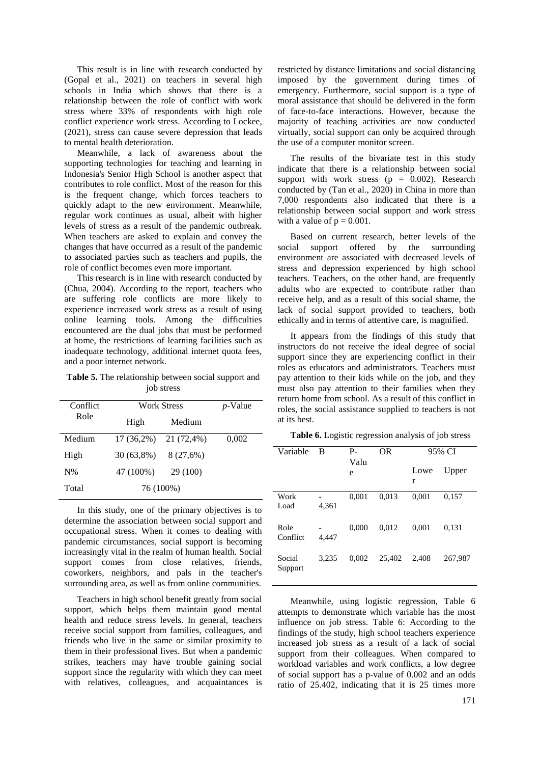This result is in line with research conducted by (Gopal et al., 2021) on teachers in several high schools in India which shows that there is a relationship between the role of conflict with work stress where 33% of respondents with high role conflict experience work stress. According to Lockee, (2021), stress can cause severe depression that leads to mental health deterioration.

Meanwhile, a lack of awareness about the supporting technologies for teaching and learning in Indonesia's Senior High School is another aspect that contributes to role conflict. Most of the reason for this is the frequent change, which forces teachers to quickly adapt to the new environment. Meanwhile, regular work continues as usual, albeit with higher levels of stress as a result of the pandemic outbreak. When teachers are asked to explain and convey the changes that have occurred as a result of the pandemic to associated parties such as teachers and pupils, the role of conflict becomes even more important.

This research is in line with research conducted by (Chua, 2004). According to the report, teachers who are suffering role conflicts are more likely to experience increased work stress as a result of using online learning tools. Among the difficulties encountered are the dual jobs that must be performed at home, the restrictions of learning facilities such as inadequate technology, additional internet quota fees, and a poor internet network.

**Table 5.** The relationship between social support and job stress

| Conflict | Work Stress  | <i>p</i> -Value |       |
|----------|--------------|-----------------|-------|
| Role     | High         | Medium          |       |
| Medium   | $17(36,2\%)$ | 21 (72,4%)      | 0,002 |
| High     | 30 (63,8%)   | 8 (27,6%)       |       |
| $N\%$    | 47 (100%)    | 29 (100)        |       |
| Total    |              | 76 (100%)       |       |

In this study, one of the primary objectives is to determine the association between social support and occupational stress. When it comes to dealing with pandemic circumstances, social support is becoming increasingly vital in the realm of human health. Social support comes from close relatives, friends, coworkers, neighbors, and pals in the teacher's surrounding area, as well as from online communities.

Teachers in high school benefit greatly from social support, which helps them maintain good mental health and reduce stress levels. In general, teachers receive social support from families, colleagues, and friends who live in the same or similar proximity to them in their professional lives. But when a pandemic strikes, teachers may have trouble gaining social support since the regularity with which they can meet with relatives, colleagues, and acquaintances is

restricted by distance limitations and social distancing imposed by the government during times of emergency. Furthermore, social support is a type of moral assistance that should be delivered in the form of face-to-face interactions. However, because the majority of teaching activities are now conducted virtually, social support can only be acquired through the use of a computer monitor screen.

The results of the bivariate test in this study indicate that there is a relationship between social support with work stress ( $p = 0.002$ ). Research conducted by (Tan et al., 2020) in China in more than 7,000 respondents also indicated that there is a relationship between social support and work stress with a value of  $p = 0.001$ .

Based on current research, better levels of the social support offered by the surrounding environment are associated with decreased levels of stress and depression experienced by high school teachers. Teachers, on the other hand, are frequently adults who are expected to contribute rather than receive help, and as a result of this social shame, the lack of social support provided to teachers, both ethically and in terms of attentive care, is magnified.

It appears from the findings of this study that instructors do not receive the ideal degree of social support since they are experiencing conflict in their roles as educators and administrators. Teachers must pay attention to their kids while on the job, and they must also pay attention to their families when they return home from school. As a result of this conflict in roles, the social assistance supplied to teachers is not at its best.

**Table 6.** Logistic regression analysis of job stress

| Variable          | B     | P-<br>Valu | <b>OR</b> | 95% CI    |         |
|-------------------|-------|------------|-----------|-----------|---------|
|                   |       | e          |           | Lowe<br>r | Upper   |
| Work<br>Load      | 4,361 | 0.001      | 0,013     | 0.001     | 0.157   |
| Role<br>Conflict  | 4.447 | 0.000      | 0.012     | 0.001     | 0,131   |
| Social<br>Support | 3.235 | 0.002      | 25,402    | 2,408     | 267,987 |

Meanwhile, using logistic regression, Table 6 attempts to demonstrate which variable has the most influence on job stress. Table 6: According to the findings of the study, high school teachers experience increased job stress as a result of a lack of social support from their colleagues. When compared to workload variables and work conflicts, a low degree of social support has a p-value of 0.002 and an odds ratio of 25.402, indicating that it is 25 times more

I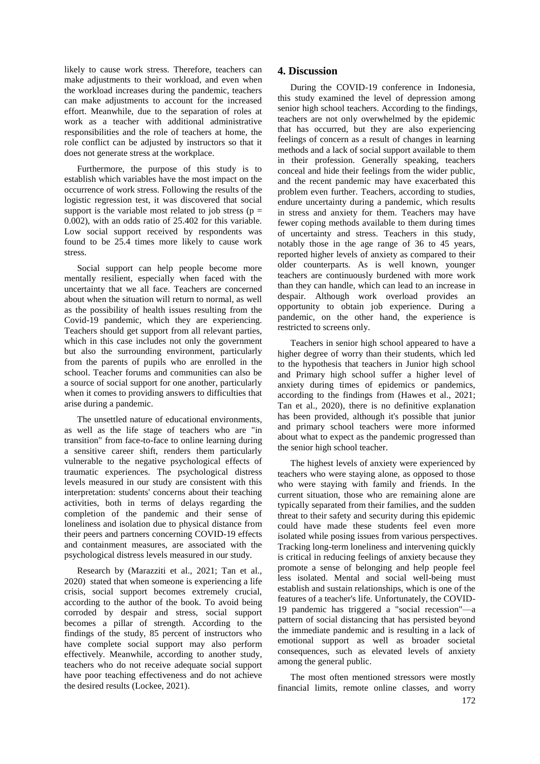likely to cause work stress. Therefore, teachers can make adjustments to their workload, and even when the workload increases during the pandemic, teachers can make adjustments to account for the increased effort. Meanwhile, due to the separation of roles at work as a teacher with additional administrative responsibilities and the role of teachers at home, the role conflict can be adjusted by instructors so that it does not generate stress at the workplace.

Furthermore, the purpose of this study is to establish which variables have the most impact on the occurrence of work stress. Following the results of the logistic regression test, it was discovered that social support is the variable most related to job stress ( $p =$ 0.002), with an odds ratio of 25.402 for this variable. Low social support received by respondents was found to be 25.4 times more likely to cause work stress.

Social support can help people become more mentally resilient, especially when faced with the uncertainty that we all face. Teachers are concerned about when the situation will return to normal, as well as the possibility of health issues resulting from the Covid-19 pandemic, which they are experiencing. Teachers should get support from all relevant parties, which in this case includes not only the government but also the surrounding environment, particularly from the parents of pupils who are enrolled in the school. Teacher forums and communities can also be a source of social support for one another, particularly when it comes to providing answers to difficulties that arise during a pandemic.

The unsettled nature of educational environments, as well as the life stage of teachers who are "in transition" from face-to-face to online learning during a sensitive career shift, renders them particularly vulnerable to the negative psychological effects of traumatic experiences. The psychological distress levels measured in our study are consistent with this interpretation: students' concerns about their teaching activities, both in terms of delays regarding the completion of the pandemic and their sense of loneliness and isolation due to physical distance from their peers and partners concerning COVID-19 effects and containment measures, are associated with the psychological distress levels measured in our study.

Research by (Marazziti et al., 2021; Tan et al., 2020) stated that when someone is experiencing a life crisis, social support becomes extremely crucial, according to the author of the book. To avoid being corroded by despair and stress, social support becomes a pillar of strength. According to the findings of the study, 85 percent of instructors who have complete social support may also perform effectively. Meanwhile, according to another study, teachers who do not receive adequate social support have poor teaching effectiveness and do not achieve the desired results (Lockee, 2021).

## **4. Discussion**

During the COVID-19 conference in Indonesia, this study examined the level of depression among senior high school teachers. According to the findings, teachers are not only overwhelmed by the epidemic that has occurred, but they are also experiencing feelings of concern as a result of changes in learning methods and a lack of social support available to them in their profession. Generally speaking, teachers conceal and hide their feelings from the wider public, and the recent pandemic may have exacerbated this problem even further. Teachers, according to studies, endure uncertainty during a pandemic, which results in stress and anxiety for them. Teachers may have fewer coping methods available to them during times of uncertainty and stress. Teachers in this study, notably those in the age range of 36 to 45 years, reported higher levels of anxiety as compared to their older counterparts. As is well known, younger teachers are continuously burdened with more work than they can handle, which can lead to an increase in despair. Although work overload provides an opportunity to obtain job experience. During a pandemic, on the other hand, the experience is restricted to screens only.

Teachers in senior high school appeared to have a higher degree of worry than their students, which led to the hypothesis that teachers in Junior high school and Primary high school suffer a higher level of anxiety during times of epidemics or pandemics, according to the findings from (Hawes et al., 2021; Tan et al., 2020), there is no definitive explanation has been provided, although it's possible that junior and primary school teachers were more informed about what to expect as the pandemic progressed than the senior high school teacher.

The highest levels of anxiety were experienced by teachers who were staying alone, as opposed to those who were staying with family and friends. In the current situation, those who are remaining alone are typically separated from their families, and the sudden threat to their safety and security during this epidemic could have made these students feel even more isolated while posing issues from various perspectives. Tracking long-term loneliness and intervening quickly is critical in reducing feelings of anxiety because they promote a sense of belonging and help people feel less isolated. Mental and social well-being must establish and sustain relationships, which is one of the features of a teacher's life. Unfortunately, the COVID-19 pandemic has triggered a "social recession"—a pattern of social distancing that has persisted beyond the immediate pandemic and is resulting in a lack of emotional support as well as broader societal consequences, such as elevated levels of anxiety among the general public.

The most often mentioned stressors were mostly financial limits, remote online classes, and worry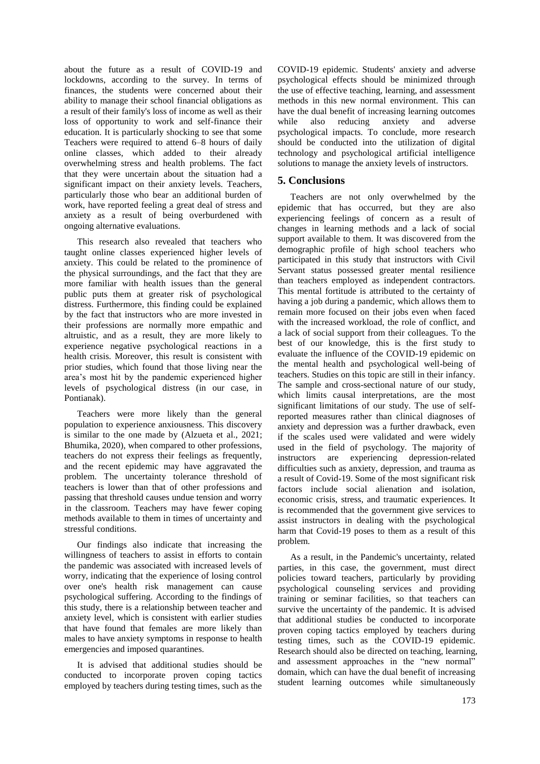about the future as a result of COVID-19 and lockdowns, according to the survey. In terms of finances, the students were concerned about their ability to manage their school financial obligations as a result of their family's loss of income as well as their loss of opportunity to work and self-finance their education. It is particularly shocking to see that some Teachers were required to attend 6–8 hours of daily online classes, which added to their already overwhelming stress and health problems. The fact that they were uncertain about the situation had a significant impact on their anxiety levels. Teachers, particularly those who bear an additional burden of work, have reported feeling a great deal of stress and anxiety as a result of being overburdened with ongoing alternative evaluations.

This research also revealed that teachers who taught online classes experienced higher levels of anxiety. This could be related to the prominence of the physical surroundings, and the fact that they are more familiar with health issues than the general public puts them at greater risk of psychological distress. Furthermore, this finding could be explained by the fact that instructors who are more invested in their professions are normally more empathic and altruistic, and as a result, they are more likely to experience negative psychological reactions in a health crisis. Moreover, this result is consistent with prior studies, which found that those living near the area's most hit by the pandemic experienced higher levels of psychological distress (in our case, in Pontianak).

Teachers were more likely than the general population to experience anxiousness. This discovery is similar to the one made by (Alzueta et al., 2021; Bhumika, 2020), when compared to other professions, teachers do not express their feelings as frequently, and the recent epidemic may have aggravated the problem. The uncertainty tolerance threshold of teachers is lower than that of other professions and passing that threshold causes undue tension and worry in the classroom. Teachers may have fewer coping methods available to them in times of uncertainty and stressful conditions.

Our findings also indicate that increasing the willingness of teachers to assist in efforts to contain the pandemic was associated with increased levels of worry, indicating that the experience of losing control over one's health risk management can cause psychological suffering. According to the findings of this study, there is a relationship between teacher and anxiety level, which is consistent with earlier studies that have found that females are more likely than males to have anxiety symptoms in response to health emergencies and imposed quarantines.

It is advised that additional studies should be conducted to incorporate proven coping tactics employed by teachers during testing times, such as the COVID-19 epidemic. Students' anxiety and adverse psychological effects should be minimized through the use of effective teaching, learning, and assessment methods in this new normal environment. This can have the dual benefit of increasing learning outcomes while also reducing anxiety and adverse psychological impacts. To conclude, more research should be conducted into the utilization of digital technology and psychological artificial intelligence solutions to manage the anxiety levels of instructors.

## **5. Conclusions**

Teachers are not only overwhelmed by the epidemic that has occurred, but they are also experiencing feelings of concern as a result of changes in learning methods and a lack of social support available to them. It was discovered from the demographic profile of high school teachers who participated in this study that instructors with Civil Servant status possessed greater mental resilience than teachers employed as independent contractors. This mental fortitude is attributed to the certainty of having a job during a pandemic, which allows them to remain more focused on their jobs even when faced with the increased workload, the role of conflict, and a lack of social support from their colleagues. To the best of our knowledge, this is the first study to evaluate the influence of the COVID-19 epidemic on the mental health and psychological well-being of teachers. Studies on this topic are still in their infancy. The sample and cross-sectional nature of our study, which limits causal interpretations, are the most significant limitations of our study. The use of selfreported measures rather than clinical diagnoses of anxiety and depression was a further drawback, even if the scales used were validated and were widely used in the field of psychology. The majority of instructors are experiencing depression-related difficulties such as anxiety, depression, and trauma as a result of Covid-19. Some of the most significant risk factors include social alienation and isolation, economic crisis, stress, and traumatic experiences. It is recommended that the government give services to assist instructors in dealing with the psychological harm that Covid-19 poses to them as a result of this problem.

As a result, in the Pandemic's uncertainty, related parties, in this case, the government, must direct policies toward teachers, particularly by providing psychological counseling services and providing training or seminar facilities, so that teachers can survive the uncertainty of the pandemic. It is advised that additional studies be conducted to incorporate proven coping tactics employed by teachers during testing times, such as the COVID-19 epidemic. Research should also be directed on teaching, learning, and assessment approaches in the "new normal" domain, which can have the dual benefit of increasing student learning outcomes while simultaneously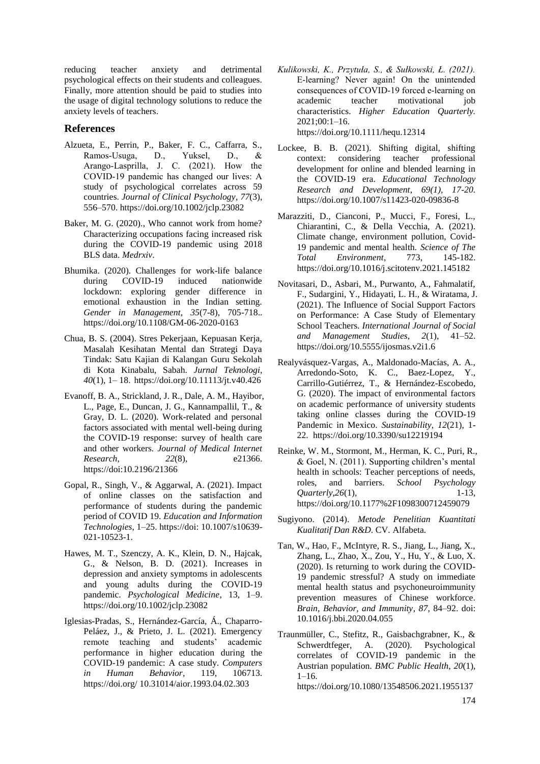reducing teacher anxiety and detrimental psychological effects on their students and colleagues. Finally, more attention should be paid to studies into the usage of digital technology solutions to reduce the anxiety levels of teachers.

## **References**

- Alzueta, E., Perrin, P., Baker, F. C., Caffarra, S., Ramos‐Usuga, D., Yuksel, D., & Arango‐Lasprilla, J. C. (2021). How the COVID‐19 pandemic has changed our lives: A study of psychological correlates across 59 countries. *Journal of Clinical Psychology*, *77*(3), 556–570. https://doi.org/10.1002/jclp.23082
- Baker, M. G. (2020)., Who cannot work from home? Characterizing occupations facing increased risk during the COVID-19 pandemic using 2018 BLS data. *Medrxiv*.
- Bhumika. (2020). Challenges for work-life balance during COVID-19 induced nationwide lockdown: exploring gender difference in emotional exhaustion in the Indian setting. *Gender in Management*, *35*(7-8), 705-718.. https://doi.org/10.1108/GM-06-2020-0163
- Chua, B. S. (2004). Stres Pekerjaan, Kepuasan Kerja, Masalah Kesihatan Mental dan Strategi Daya Tindak: Satu Kajian di Kalangan Guru Sekolah di Kota Kinabalu, Sabah. *Jurnal Teknologi*, *40*(1), 1– 18. https://doi.org/10.11113/jt.v40.426
- Evanoff, B. A., Strickland, J. R., Dale, A. M., Hayibor, L., Page, E., Duncan, J. G., Kannampallil, T., & Gray, D. L. (2020). Work-related and personal factors associated with mental well-being during the COVID-19 response: survey of health care and other workers. *Journal of Medical Internet Research*, *22*(8), e21366. https://doi:10.2196/21366
- Gopal, R., Singh, V., & Aggarwal, A. (2021). Impact of online classes on the satisfaction and performance of students during the pandemic period of COVID 19. *Education and Information Technologies*, 1–25. https://doi: 10.1007/s10639- 021-10523-1.
- Hawes, M. T., Szenczy, A. K., Klein, D. N., Hajcak, G., & Nelson, B. D. (2021). Increases in depression and anxiety symptoms in adolescents and young adults during the COVID-19 pandemic. *Psychological Medicine*, 13, 1–9. https://doi.org/10.1002/jclp.23082
- Iglesias-Pradas, S., Hernández-García, Á., Chaparro-Peláez, J., & Prieto, J. L. (2021). Emergency remote teaching and students' academic performance in higher education during the COVID-19 pandemic: A case study. *Computers in Human Behavior*, 119, 106713. https://doi.org/ 10.31014/aior.1993.04.02.303
- *Kulikowski, K., Przytuła, S., & Sułkowski, Ł. (2021).*  E‐learning? Never again! On the unintended consequences of COVID‐19 forced e‐learning on academic teacher motivational job characteristics. *Higher Education Quarterly.* 2021;00:1–16. https://doi.org/10.1111/hequ.12314
- Lockee, B. B. (2021). Shifting digital, shifting context: considering teacher professional development for online and blended learning in the COVID-19 era. *Educational Technology Research and Development*, *69(1), 17-20.* https://doi.org/10.1007/s11423-020-09836-8
- Marazziti, D., Cianconi, P., Mucci, F., Foresi, L., Chiarantini, C., & Della Vecchia, A. (2021). Climate change, environment pollution, Covid-19 pandemic and mental health. *Science of The Total Environment*, 773, 145-182. https://doi.org/10.1016/j.scitotenv.2021.145182
- Novitasari, D., Asbari, M., Purwanto, A., Fahmalatif, F., Sudargini, Y., Hidayati, L. H., & Wiratama, J. (2021). The Influence of Social Support Factors on Performance: A Case Study of Elementary School Teachers. *International Journal of Social and Management Studies*, *2*(1), 41–52. https://doi.org/10.5555/ijosmas.v2i1.6
- Realyvásquez-Vargas, A., Maldonado-Macías, A. A., Arredondo-Soto, K. C., Baez-Lopez, Y., Carrillo-Gutiérrez, T., & Hernández-Escobedo, G. (2020). The impact of environmental factors on academic performance of university students taking online classes during the COVID-19 Pandemic in Mexico. *Sustainability*, *12*(21), 1- 22. https://doi.org/10.3390/su12219194
- Reinke, W. M., Stormont, M., Herman, K. C., Puri, R., & Goel, N. (2011). Supporting children's mental health in schools: Teacher perceptions of needs, roles, and barriers. *School Psychology Quarterly*, 26(1), 1-13, https://doi.org/10.1177%2F1098300712459079
- Sugiyono. (2014). *Metode Penelitian Kuantitati Kualitatif Dan R&D*. CV. Alfabeta.
- Tan, W., Hao, F., McIntyre, R. S., Jiang, L., Jiang, X., Zhang, L., Zhao, X., Zou, Y., Hu, Y., & Luo, X. (2020). Is returning to work during the COVID-19 pandemic stressful? A study on immediate mental health status and psychoneuroimmunity prevention measures of Chinese workforce. *Brain, Behavior, and Immunity*, *87*, 84–92. doi: 10.1016/j.bbi.2020.04.055
- Traunmüller, C., Stefitz, R., Gaisbachgrabner, K., & Schwerdtfeger, A. (2020). Psychological correlates of COVID-19 pandemic in the Austrian population. *BMC Public Health*, *20*(1),  $1-16.$

https://doi.org/10.1080/13548506.2021.1955137